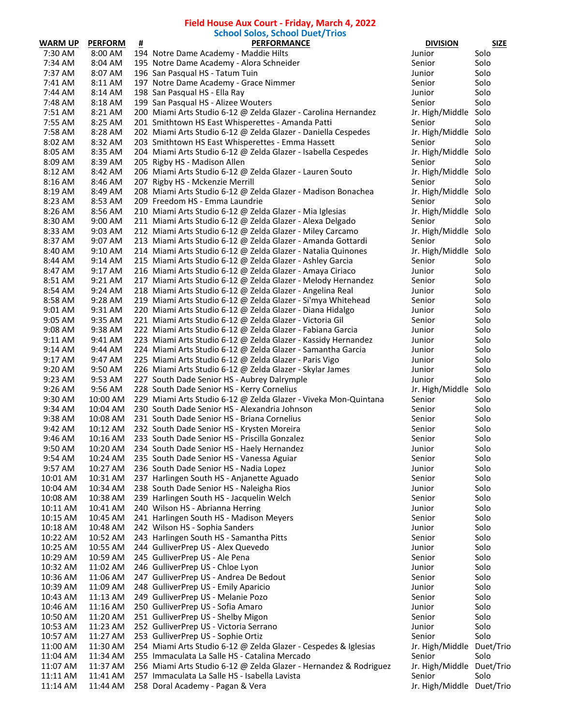## **Field House Aux Court - Friday, March 4, 2022 School Solos, School Duet/Trios**

|          |                |   | suluul sulus, sulluul Ducif ITIus                                 |                           |             |
|----------|----------------|---|-------------------------------------------------------------------|---------------------------|-------------|
| WARM UP  | <b>PERFORM</b> | Ħ | <b>PERFORMANCE</b>                                                | <b>DIVISION</b>           | <b>SIZE</b> |
| 7:30 AM  | 8:00 AM        |   | 194 Notre Dame Academy - Maddie Hilts                             | Junior                    | Solo        |
| 7:34 AM  | 8:04 AM        |   | 195 Notre Dame Academy - Alora Schneider                          | Senior                    | Solo        |
| 7:37 AM  | 8:07 AM        |   | 196 San Pasqual HS - Tatum Tuin                                   | Junior                    | Solo        |
| 7:41 AM  | 8:11 AM        |   | 197 Notre Dame Academy - Grace Nimmer                             | Senior                    | Solo        |
| 7:44 AM  | 8:14 AM        |   | 198 San Pasqual HS - Ella Ray                                     | Junior                    | Solo        |
|          |                |   |                                                                   |                           |             |
| 7:48 AM  | 8:18 AM        |   | 199 San Pasqual HS - Alizee Wouters                               | Senior                    | Solo        |
| 7:51 AM  | 8:21 AM        |   | 200 Miami Arts Studio 6-12 @ Zelda Glazer - Carolina Hernandez    | Jr. High/Middle Solo      |             |
| 7:55 AM  | 8:25 AM        |   | 201 Smithtown HS East Whisperettes - Amanda Patti                 | Senior                    | Solo        |
| 7:58 AM  | 8:28 AM        |   | 202 Miami Arts Studio 6-12 @ Zelda Glazer - Daniella Cespedes     | Jr. High/Middle Solo      |             |
| 8:02 AM  | 8:32 AM        |   | 203 Smithtown HS East Whisperettes - Emma Hassett                 | Senior                    | Solo        |
| 8:05 AM  | 8:35 AM        |   | 204 Miami Arts Studio 6-12 @ Zelda Glazer - Isabella Cespedes     | Jr. High/Middle Solo      |             |
| 8:09 AM  | 8:39 AM        |   | 205 Rigby HS - Madison Allen                                      | Senior                    | Solo        |
|          |                |   |                                                                   |                           |             |
| 8:12 AM  | 8:42 AM        |   | 206 Miami Arts Studio 6-12 @ Zelda Glazer - Lauren Souto          | Jr. High/Middle Solo      |             |
| 8:16 AM  | 8:46 AM        |   | 207 Rigby HS - Mckenzie Merrill                                   | Senior                    | Solo        |
| 8:19 AM  | 8:49 AM        |   | 208 Miami Arts Studio 6-12 @ Zelda Glazer - Madison Bonachea      | Jr. High/Middle Solo      |             |
| 8:23 AM  | 8:53 AM        |   | 209 Freedom HS - Emma Laundrie                                    | Senior                    | Solo        |
| 8:26 AM  | 8:56 AM        |   | 210 Miami Arts Studio 6-12 @ Zelda Glazer - Mia Iglesias          | Jr. High/Middle Solo      |             |
| 8:30 AM  | 9:00 AM        |   | 211 Miami Arts Studio 6-12 @ Zelda Glazer - Alexa Delgado         | Senior                    | Solo        |
| 8:33 AM  | 9:03 AM        |   | 212 Miami Arts Studio 6-12 @ Zelda Glazer - Miley Carcamo         | Jr. High/Middle Solo      |             |
|          | 9:07 AM        |   |                                                                   |                           |             |
| 8:37 AM  |                |   | 213 Miami Arts Studio 6-12 @ Zelda Glazer - Amanda Gottardi       | Senior                    | Solo        |
| 8:40 AM  | 9:10 AM        |   | 214 Miami Arts Studio 6-12 @ Zelda Glazer - Natalia Quinones      | Jr. High/Middle Solo      |             |
| 8:44 AM  | 9:14 AM        |   | 215 Miami Arts Studio 6-12 @ Zelda Glazer - Ashley Garcia         | Senior                    | Solo        |
| 8:47 AM  | 9:17 AM        |   | 216 Miami Arts Studio 6-12 @ Zelda Glazer - Amaya Ciriaco         | Junior                    | Solo        |
| 8:51 AM  | 9:21 AM        |   | 217 Miami Arts Studio 6-12 @ Zelda Glazer - Melody Hernandez      | Senior                    | Solo        |
| 8:54 AM  | 9:24 AM        |   | 218 Miami Arts Studio 6-12 @ Zelda Glazer - Angelina Real         | Junior                    | Solo        |
| 8:58 AM  | 9:28 AM        |   | 219 Miami Arts Studio 6-12 @ Zelda Glazer - Si'mya Whitehead      | Senior                    | Solo        |
|          |                |   |                                                                   |                           |             |
| 9:01 AM  | 9:31 AM        |   | 220 Miami Arts Studio 6-12 @ Zelda Glazer - Diana Hidalgo         | Junior                    | Solo        |
| 9:05 AM  | 9:35 AM        |   | 221 Miami Arts Studio 6-12 @ Zelda Glazer - Victoria Gil          | Senior                    | Solo        |
| 9:08 AM  | 9:38 AM        |   | 222 Miami Arts Studio 6-12 @ Zelda Glazer - Fabiana Garcia        | Junior                    | Solo        |
| 9:11 AM  | 9:41 AM        |   | 223 Miami Arts Studio 6-12 @ Zelda Glazer - Kassidy Hernandez     | Junior                    | Solo        |
| 9:14 AM  | 9:44 AM        |   | 224 Miami Arts Studio 6-12 @ Zelda Glazer - Samantha Garcia       | Junior                    | Solo        |
| 9:17 AM  | 9:47 AM        |   | 225 Miami Arts Studio 6-12 @ Zelda Glazer - Paris Vigo            | Junior                    | Solo        |
| 9:20 AM  | 9:50 AM        |   | 226 Miami Arts Studio 6-12 @ Zelda Glazer - Skylar James          | Junior                    | Solo        |
|          | 9:53 AM        |   |                                                                   |                           | Solo        |
| 9:23 AM  |                |   | 227 South Dade Senior HS - Aubrey Dalrymple                       | Junior                    |             |
| 9:26 AM  | 9:56 AM        |   | 228 South Dade Senior HS - Kerry Cornelius                        | Jr. High/Middle           | Solo        |
| 9:30 AM  | 10:00 AM       |   | 229 Miami Arts Studio 6-12 @ Zelda Glazer - Viveka Mon-Quintana   | Senior                    | Solo        |
| 9:34 AM  | 10:04 AM       |   | 230 South Dade Senior HS - Alexandria Johnson                     | Senior                    | Solo        |
| 9:38 AM  | 10:08 AM       |   | 231 South Dade Senior HS - Briana Cornelius                       | Senior                    | Solo        |
| 9:42 AM  | 10:12 AM       |   | 232 South Dade Senior HS - Krysten Moreira                        | Senior                    | Solo        |
| 9:46 AM  | 10:16 AM       |   | 233 South Dade Senior HS - Priscilla Gonzalez                     | Senior                    | Solo        |
| 9:50 AM  | 10:20 AM       |   | 234 South Dade Senior HS - Haely Hernandez                        | Junior                    | Solo        |
|          |                |   |                                                                   |                           |             |
| 9:54 AM  | 10:24 AM       |   | 235 South Dade Senior HS - Vanessa Aguiar                         | Senior                    | Solo        |
| 9:57 AM  | 10:27 AM       |   | 236 South Dade Senior HS - Nadia Lopez                            | Junior                    | Solo        |
| 10:01 AM | 10:31 AM       |   | 237 Harlingen South HS - Anjanette Aguado                         | Senior                    | Solo        |
| 10:04 AM | 10:34 AM       |   | 238 South Dade Senior HS - Naleigha Rios                          | Junior                    | Solo        |
| 10:08 AM | 10:38 AM       |   | 239 Harlingen South HS - Jacquelin Welch                          | Senior                    | Solo        |
| 10:11 AM | 10:41 AM       |   | 240 Wilson HS - Abrianna Herring                                  | Junior                    | Solo        |
| 10:15 AM | 10:45 AM       |   | 241 Harlingen South HS - Madison Meyers                           | Senior                    | Solo        |
|          |                |   |                                                                   |                           |             |
| 10:18 AM | 10:48 AM       |   | 242 Wilson HS - Sophia Sanders                                    | Junior                    | Solo        |
| 10:22 AM | 10:52 AM       |   | 243 Harlingen South HS - Samantha Pitts                           | Senior                    | Solo        |
| 10:25 AM | 10:55 AM       |   | 244 GulliverPrep US - Alex Quevedo                                | Junior                    | Solo        |
| 10:29 AM | 10:59 AM       |   | 245 GulliverPrep US - Ale Pena                                    | Senior                    | Solo        |
| 10:32 AM | 11:02 AM       |   | 246 GulliverPrep US - Chloe Lyon                                  | Junior                    | Solo        |
| 10:36 AM | 11:06 AM       |   | 247 GulliverPrep US - Andrea De Bedout                            | Senior                    | Solo        |
| 10:39 AM | 11:09 AM       |   | 248 GulliverPrep US - Emily Aparicio                              | Junior                    | Solo        |
| 10:43 AM | 11:13 AM       |   |                                                                   | Senior                    | Solo        |
|          |                |   | 249 GulliverPrep US - Melanie Pozo                                |                           |             |
| 10:46 AM | 11:16 AM       |   | 250 GulliverPrep US - Sofia Amaro                                 | Junior                    | Solo        |
| 10:50 AM | 11:20 AM       |   | 251 GulliverPrep US - Shelby Migon                                | Senior                    | Solo        |
| 10:53 AM | 11:23 AM       |   | 252 GulliverPrep US - Victoria Serrano                            | Junior                    | Solo        |
| 10:57 AM | 11:27 AM       |   | 253 GulliverPrep US - Sophie Ortiz                                | Senior                    | Solo        |
| 11:00 AM | 11:30 AM       |   | 254 Miami Arts Studio 6-12 @ Zelda Glazer - Cespedes & Iglesias   | Jr. High/Middle           | Duet/Trio   |
| 11:04 AM | 11:34 AM       |   | 255 Immaculata La Salle HS - Catalina Mercado                     | Senior                    | Solo        |
| 11:07 AM | 11:37 AM       |   | 256 Miami Arts Studio 6-12 @ Zelda Glazer - Hernandez & Rodriguez | Jr. High/Middle           | Duet/Trio   |
|          |                |   |                                                                   |                           |             |
| 11:11 AM | 11:41 AM       |   | 257 Immaculata La Salle HS - Isabella Lavista                     | Senior                    | Solo        |
| 11:14 AM | 11:44 AM       |   | 258 Doral Academy - Pagan & Vera                                  | Jr. High/Middle Duet/Trio |             |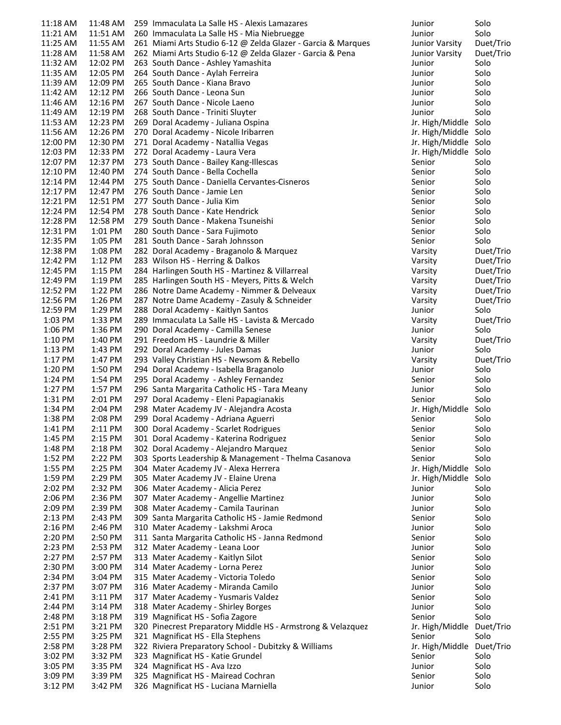| 11:18 AM | 11:48 AM  | 259 Immaculata La Salle HS - Alexis Lamazares                | Junior                    | Solo      |
|----------|-----------|--------------------------------------------------------------|---------------------------|-----------|
| 11:21 AM | 11:51 AM  | 260 Immaculata La Salle HS - Mia Niebruegge                  | Junior                    | Solo      |
| 11:25 AM | 11:55 AM  | 261 Miami Arts Studio 6-12 @ Zelda Glazer - Garcia & Marques | Junior Varsity            | Duet/Trio |
| 11:28 AM | 11:58 AM  | 262 Miami Arts Studio 6-12 @ Zelda Glazer - Garcia & Pena    | Junior Varsity            | Duet/Trio |
| 11:32 AM | 12:02 PM  | 263 South Dance - Ashley Yamashita                           | Junior                    | Solo      |
| 11:35 AM | 12:05 PM  | 264 South Dance - Aylah Ferreira                             | Junior                    | Solo      |
| 11:39 AM | 12:09 PM  | 265 South Dance - Kiana Bravo                                | Junior                    | Solo      |
| 11:42 AM | 12:12 PM  | 266 South Dance - Leona Sun                                  | Junior                    | Solo      |
| 11:46 AM | 12:16 PM  | 267 South Dance - Nicole Laeno                               | Junior                    | Solo      |
|          |           |                                                              |                           |           |
| 11:49 AM | 12:19 PM  | 268 South Dance - Triniti Sluyter                            | Junior                    | Solo      |
| 11:53 AM | 12:23 PM  | 269 Doral Academy - Juliana Ospina                           | Jr. High/Middle Solo      |           |
| 11:56 AM | 12:26 PM  | 270 Doral Academy - Nicole Iribarren                         | Jr. High/Middle Solo      |           |
| 12:00 PM | 12:30 PM  | 271 Doral Academy - Natallia Vegas                           | Jr. High/Middle Solo      |           |
| 12:03 PM | 12:33 PM  | 272 Doral Academy - Laura Vera                               | Jr. High/Middle Solo      |           |
| 12:07 PM | 12:37 PM  | 273 South Dance - Bailey Kang-Illescas                       | Senior                    | Solo      |
| 12:10 PM | 12:40 PM  | 274 South Dance - Bella Cochella                             | Senior                    | Solo      |
| 12:14 PM | 12:44 PM  | 275 South Dance - Daniella Cervantes-Cisneros                | Senior                    | Solo      |
| 12:17 PM | 12:47 PM  | 276 South Dance - Jamie Len                                  | Senior                    | Solo      |
| 12:21 PM | 12:51 PM  | 277 South Dance - Julia Kim                                  | Senior                    | Solo      |
| 12:24 PM | 12:54 PM  | 278 South Dance - Kate Hendrick                              | Senior                    | Solo      |
| 12:28 PM | 12:58 PM  | 279 South Dance - Makena Tsuneishi                           | Senior                    | Solo      |
| 12:31 PM | 1:01 PM   | 280 South Dance - Sara Fujimoto                              | Senior                    | Solo      |
| 12:35 PM | 1:05 PM   | 281 South Dance - Sarah Johnsson                             | Senior                    | Solo      |
| 12:38 PM | 1:08 PM   | 282 Doral Academy - Braganolo & Marquez                      | Varsity                   | Duet/Trio |
| 12:42 PM | 1:12 PM   | 283 Wilson HS - Herring & Dalkos                             |                           | Duet/Trio |
|          |           |                                                              | Varsity                   |           |
| 12:45 PM | 1:15 PM   | 284 Harlingen South HS - Martinez & Villarreal               | Varsity                   | Duet/Trio |
| 12:49 PM | 1:19 PM   | 285 Harlingen South HS - Meyers, Pitts & Welch               | Varsity                   | Duet/Trio |
| 12:52 PM | 1:22 PM   | 286 Notre Dame Academy - Nimmer & Delveaux                   | Varsity                   | Duet/Trio |
| 12:56 PM | 1:26 PM   | 287 Notre Dame Academy - Zasuly & Schneider                  | Varsity                   | Duet/Trio |
| 12:59 PM | 1:29 PM   | 288 Doral Academy - Kaitlyn Santos                           | Junior                    | Solo      |
| 1:03 PM  | 1:33 PM   | 289 Immaculata La Salle HS - Lavista & Mercado               | Varsity                   | Duet/Trio |
| 1:06 PM  | 1:36 PM   | 290 Doral Academy - Camilla Senese                           | Junior                    | Solo      |
| 1:10 PM  | 1:40 PM   | 291 Freedom HS - Laundrie & Miller                           | Varsity                   | Duet/Trio |
| 1:13 PM  | 1:43 PM   | 292 Doral Academy - Jules Damas                              | Junior                    | Solo      |
| 1:17 PM  | 1:47 PM   | 293 Valley Christian HS - Newsom & Rebello                   | Varsity                   | Duet/Trio |
| 1:20 PM  | 1:50 PM   | 294 Doral Academy - Isabella Braganolo                       | Junior                    | Solo      |
| 1:24 PM  | 1:54 PM   | 295 Doral Academy - Ashley Fernandez                         | Senior                    | Solo      |
| 1:27 PM  | 1:57 PM   | 296 Santa Margarita Catholic HS - Tara Meany                 | Junior                    | Solo      |
| 1:31 PM  | 2:01 PM   | 297 Doral Academy - Eleni Papagianakis                       | Senior                    | Solo      |
| 1:34 PM  | 2:04 PM   | 298 Mater Academy JV - Alejandra Acosta                      | Jr. High/Middle Solo      |           |
| 1:38 PM  | 2:08 PM   | 299 Doral Academy - Adriana Aguerri                          | Senior                    | Solo      |
| 1:41 PM  | 2:11 PM   | 300 Doral Academy - Scarlet Rodrigues                        | Senior                    | Solo      |
|          |           |                                                              |                           |           |
| 1:45 PM  | 2:15 PM   | 301 Doral Academy - Katerina Rodriguez                       | Senior                    | Solo      |
| 1:48 PM  | 2:18 PM   | 302 Doral Academy - Alejandro Marquez                        | Senior                    | Solo      |
| 1:52 PM  | 2:22 PM   | 303 Sports Leadership & Management - Thelma Casanova         | Senior                    | Solo      |
| 1:55 PM  | 2:25 PM   | 304 Mater Academy JV - Alexa Herrera                         | Jr. High/Middle Solo      |           |
| 1:59 PM  | 2:29 PM   | 305 Mater Academy JV - Elaine Urena                          | Jr. High/Middle Solo      |           |
| 2:02 PM  | 2:32 PM   | 306 Mater Academy - Alicia Perez                             | Junior                    | Solo      |
| 2:06 PM  | 2:36 PM   | 307 Mater Academy - Angellie Martinez                        | Junior                    | Solo      |
| 2:09 PM  | 2:39 PM   | 308 Mater Academy - Camila Taurinan                          | Junior                    | Solo      |
| 2:13 PM  | 2:43 PM   | 309 Santa Margarita Catholic HS - Jamie Redmond              | Senior                    | Solo      |
| 2:16 PM  | 2:46 PM   | 310 Mater Academy - Lakshmi Aroca                            | Junior                    | Solo      |
| 2:20 PM  | 2:50 PM   | 311 Santa Margarita Catholic HS - Janna Redmond              | Senior                    | Solo      |
| 2:23 PM  | 2:53 PM   | 312 Mater Academy - Leana Loor                               | Junior                    | Solo      |
| 2:27 PM  | 2:57 PM   | 313 Mater Academy - Kaitlyn Silot                            | Senior                    | Solo      |
| 2:30 PM  | 3:00 PM   | 314 Mater Academy - Lorna Perez                              | Junior                    | Solo      |
| 2:34 PM  | 3:04 PM   | 315 Mater Academy - Victoria Toledo                          | Senior                    | Solo      |
| 2:37 PM  | 3:07 PM   | 316 Mater Academy - Miranda Camilo                           | Junior                    | Solo      |
| 2:41 PM  | 3:11 PM   | 317 Mater Academy - Yusmaris Valdez                          | Senior                    | Solo      |
| 2:44 PM  | 3:14 PM   | 318 Mater Academy - Shirley Borges                           | Junior                    | Solo      |
|          |           |                                                              |                           | Solo      |
| 2:48 PM  | $3:18$ PM | 319 Magnificat HS - Sofia Zagore                             | Senior                    |           |
| 2:51 PM  | 3:21 PM   | 320 Pinecrest Preparatory Middle HS - Armstrong & Velazquez  | Jr. High/Middle Duet/Trio |           |
| 2:55 PM  | 3:25 PM   | 321 Magnificat HS - Ella Stephens                            | Senior                    | Solo      |
| 2:58 PM  | 3:28 PM   | 322 Riviera Preparatory School - Dubitzky & Williams         | Jr. High/Middle Duet/Trio |           |
| 3:02 PM  | 3:32 PM   | 323 Magnificat HS - Katie Grundel                            | Senior                    | Solo      |
| 3:05 PM  | 3:35 PM   | 324 Magnificat HS - Ava Izzo                                 | Junior                    | Solo      |
| 3:09 PM  | 3:39 PM   | 325 Magnificat HS - Mairead Cochran                          | Senior                    | Solo      |
| 3:12 PM  | 3:42 PM   | 326 Magnificat HS - Luciana Marniella                        | Junior                    | Solo      |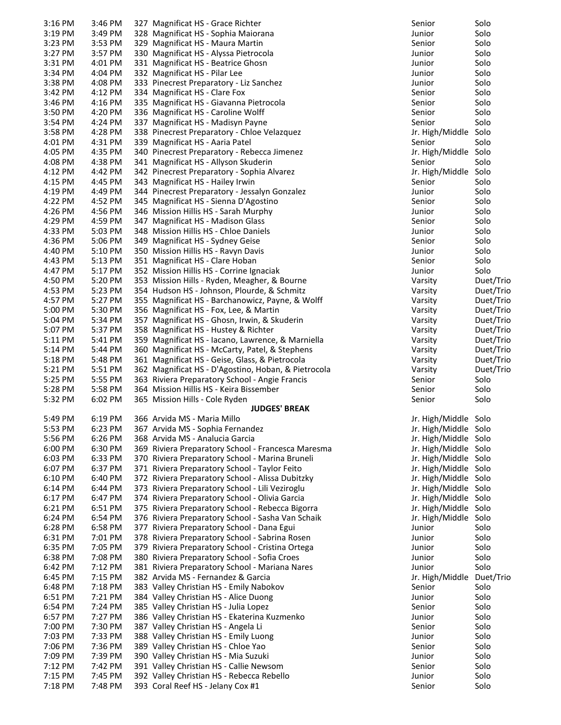| $3:16$ PM | 3:46 PM | 327 Magnificat HS - Grace Richter                   | Senior                    | Solo      |
|-----------|---------|-----------------------------------------------------|---------------------------|-----------|
| 3:19 PM   | 3:49 PM | 328 Magnificat HS - Sophia Maiorana                 | Junior                    | Solo      |
| 3:23 PM   | 3:53 PM | 329 Magnificat HS - Maura Martin                    | Senior                    | Solo      |
| 3:27 PM   | 3:57 PM | 330 Magnificat HS - Alyssa Pietrocola               | Junior                    | Solo      |
| 3:31 PM   | 4:01 PM | 331 Magnificat HS - Beatrice Ghosn                  | Junior                    | Solo      |
| 3:34 PM   | 4:04 PM | 332 Magnificat HS - Pilar Lee                       | Junior                    | Solo      |
| 3:38 PM   | 4:08 PM | 333 Pinecrest Preparatory - Liz Sanchez             | Junior                    | Solo      |
| 3:42 PM   | 4:12 PM | 334 Magnificat HS - Clare Fox                       | Senior                    | Solo      |
| 3:46 PM   | 4:16 PM | 335 Magnificat HS - Giavanna Pietrocola             | Senior                    | Solo      |
| 3:50 PM   | 4:20 PM | 336 Magnificat HS - Caroline Wolff                  | Senior                    | Solo      |
| 3:54 PM   | 4:24 PM | 337 Magnificat HS - Madisyn Payne                   | Senior                    | Solo      |
| 3:58 PM   | 4:28 PM | 338 Pinecrest Preparatory - Chloe Velazquez         | Jr. High/Middle Solo      |           |
| 4:01 PM   | 4:31 PM | 339 Magnificat HS - Aaria Patel                     | Senior                    | Solo      |
| 4:05 PM   | 4:35 PM | 340 Pinecrest Preparatory - Rebecca Jimenez         | Jr. High/Middle Solo      |           |
| 4:08 PM   | 4:38 PM | 341 Magnificat HS - Allyson Skuderin                | Senior                    | Solo      |
| 4:12 PM   | 4:42 PM | 342 Pinecrest Preparatory - Sophia Alvarez          | Jr. High/Middle Solo      |           |
| 4:15 PM   | 4:45 PM | 343 Magnificat HS - Hailey Irwin                    | Senior                    | Solo      |
| 4:19 PM   | 4:49 PM | 344 Pinecrest Preparatory - Jessalyn Gonzalez       | Junior                    | Solo      |
| 4:22 PM   | 4:52 PM | 345 Magnificat HS - Sienna D'Agostino               | Senior                    | Solo      |
| 4:26 PM   | 4:56 PM | 346 Mission Hillis HS - Sarah Murphy                | Junior                    | Solo      |
| 4:29 PM   | 4:59 PM | 347 Magnificat HS - Madison Glass                   | Senior                    | Solo      |
| 4:33 PM   | 5:03 PM | 348 Mission Hillis HS - Chloe Daniels               | Junior                    | Solo      |
| 4:36 PM   | 5:06 PM | 349 Magnificat HS - Sydney Geise                    | Senior                    | Solo      |
| 4:40 PM   | 5:10 PM | 350 Mission Hillis HS - Ravyn Davis                 | Junior                    | Solo      |
| 4:43 PM   | 5:13 PM | 351 Magnificat HS - Clare Hoban                     | Senior                    | Solo      |
| 4:47 PM   | 5:17 PM | 352 Mission Hillis HS - Corrine Ignaciak            | Junior                    | Solo      |
| 4:50 PM   | 5:20 PM | 353 Mission Hills - Ryden, Meagher, & Bourne        | Varsity                   | Duet/Trio |
| 4:53 PM   | 5:23 PM | 354 Hudson HS - Johnson, Plourde, & Schmitz         | Varsity                   | Duet/Trio |
| 4:57 PM   | 5:27 PM | 355 Magnificat HS - Barchanowicz, Payne, & Wolff    | Varsity                   | Duet/Trio |
| 5:00 PM   | 5:30 PM | 356 Magnificat HS - Fox, Lee, & Martin              | Varsity                   | Duet/Trio |
| 5:04 PM   | 5:34 PM | 357 Magnificat HS - Ghosn, Irwin, & Skuderin        | Varsity                   | Duet/Trio |
| 5:07 PM   | 5:37 PM | 358 Magnificat HS - Hustey & Richter                | Varsity                   | Duet/Trio |
| 5:11 PM   | 5:41 PM | 359 Magnificat HS - Iacano, Lawrence, & Marniella   | Varsity                   | Duet/Trio |
| 5:14 PM   | 5:44 PM | 360 Magnificat HS - McCarty, Patel, & Stephens      | Varsity                   | Duet/Trio |
| 5:18 PM   | 5:48 PM | 361 Magnificat HS - Geise, Glass, & Pietrocola      | Varsity                   | Duet/Trio |
| 5:21 PM   | 5:51 PM | 362 Magnificat HS - D'Agostino, Hoban, & Pietrocola | Varsity                   | Duet/Trio |
| 5:25 PM   | 5:55 PM | 363 Riviera Preparatory School - Angie Francis      | Senior                    | Solo      |
| 5:28 PM   | 5:58 PM | 364 Mission Hillis HS - Keira Bissember             | Senior                    | Solo      |
| 5:32 PM   | 6:02 PM | 365 Mission Hills - Cole Ryden                      | Senior                    | Solo      |
|           |         | <b>JUDGES' BREAK</b>                                |                           |           |
| 5:49 PM   | 6:19 PM | 366 Arvida MS - Maria Millo                         | Jr. High/Middle Solo      |           |
| 5:53 PM   | 6:23 PM | 367 Arvida MS - Sophia Fernandez                    | Jr. High/Middle Solo      |           |
| 5:56 PM   | 6:26 PM | 368 Arvida MS - Analucia Garcia                     | Jr. High/Middle Solo      |           |
| 6:00 PM   | 6:30 PM | 369 Riviera Preparatory School - Francesca Maresma  | Jr. High/Middle Solo      |           |
| 6:03 PM   | 6:33 PM | 370 Riviera Preparatory School - Marina Bruneli     | Jr. High/Middle Solo      |           |
| 6:07 PM   | 6:37 PM | 371 Riviera Preparatory School - Taylor Feito       | Jr. High/Middle Solo      |           |
| 6:10 PM   | 6:40 PM | 372 Riviera Preparatory School - Alissa Dubitzky    | Jr. High/Middle Solo      |           |
| 6:14 PM   | 6:44 PM | 373 Riviera Preparatory School - Lili Veziroglu     | Jr. High/Middle Solo      |           |
| 6:17 PM   | 6:47 PM | 374 Riviera Preparatory School - Olivia Garcia      | Jr. High/Middle Solo      |           |
| 6:21 PM   | 6:51 PM | 375 Riviera Preparatory School - Rebecca Bigorra    | Jr. High/Middle Solo      |           |
| 6:24 PM   | 6:54 PM | 376 Riviera Preparatory School - Sasha Van Schaik   | Jr. High/Middle Solo      |           |
| 6:28 PM   | 6:58 PM | 377 Riviera Preparatory School - Dana Egui          | Junior                    | Solo      |
| 6:31 PM   | 7:01 PM | 378 Riviera Preparatory School - Sabrina Rosen      | Junior                    | Solo      |
| 6:35 PM   | 7:05 PM | 379 Riviera Preparatory School - Cristina Ortega    | Junior                    | Solo      |
| 6:38 PM   | 7:08 PM | 380 Riviera Preparatory School - Sofia Croes        | Junior                    | Solo      |
| 6:42 PM   | 7:12 PM | 381 Riviera Preparatory School - Mariana Nares      | Junior                    | Solo      |
| 6:45 PM   | 7:15 PM | 382 Arvida MS - Fernandez & Garcia                  | Jr. High/Middle Duet/Trio |           |
| 6:48 PM   | 7:18 PM | 383 Valley Christian HS - Emily Nabokov             | Senior                    | Solo      |
| 6:51 PM   | 7:21 PM | 384 Valley Christian HS - Alice Duong               | Junior                    | Solo      |
| 6:54 PM   | 7:24 PM | 385 Valley Christian HS - Julia Lopez               | Senior                    | Solo      |
| 6:57 PM   | 7:27 PM | 386 Valley Christian HS - Ekaterina Kuzmenko        | Junior                    | Solo      |
| 7:00 PM   | 7:30 PM | 387 Valley Christian HS - Angela Li                 | Senior                    | Solo      |
| 7:03 PM   | 7:33 PM | 388 Valley Christian HS - Emily Luong               | Junior                    | Solo      |
| 7:06 PM   | 7:36 PM | 389 Valley Christian HS - Chloe Yao                 | Senior                    | Solo      |
| 7:09 PM   | 7:39 PM | 390 Valley Christian HS - Mia Suzuki                | Junior                    | Solo      |
| 7:12 PM   | 7:42 PM | 391 Valley Christian HS - Callie Newsom             | Senior                    | Solo      |
| 7:15 PM   | 7:45 PM | 392 Valley Christian HS - Rebecca Rebello           | Junior                    | Solo      |
| 7:18 PM   | 7:48 PM | 393 Coral Reef HS - Jelany Cox #1                   | Senior                    | Solo      |

| enior          | טוטכ      |
|----------------|-----------|
| unior          | Solo      |
| enior          | Solo      |
| unior          | Solo      |
| unior          | Solo      |
| unior          | Solo      |
|                |           |
| unior          | Solo      |
| enior          | Solo      |
| enior          | Solo      |
| enior          | Solo      |
| enior          | Solo      |
| r. High/Middle | Solo      |
| enior          | Solo      |
| r. High/Middle | Solo      |
| enior          | Solo      |
|                |           |
| r. High/Middle | Solo      |
| enior          | Solo      |
| unior          | Solo      |
| enior          | Solo      |
| unior          | Solo      |
| enior          | Solo      |
| unior          | Solo      |
|                |           |
| enior          | Solo      |
| unior          | Solo      |
| enior          | Solo      |
| unior          | Solo      |
| 'arsity        | Duet/Trio |
| 'arsity        | Duet/Trio |
| 'arsity        | Duet/Trio |
| 'arsity        | Duet/Trio |
|                |           |
| 'arsity        | Duet/Trio |
| 'arsity        | Duet/Trio |
| 'arsity        | Duet/Trio |
| 'arsity        | Duet/Trio |
| 'arsity        | Duet/Trio |
| 'arsity        | Duet/Trio |
| enior          | Solo      |
| enior          | Solo      |
|                |           |
| enior          | Solo      |
|                |           |
| r. High/Middle | Solo      |
| r. High/Middle | Solo      |
| . High/Middle  | Solo      |
| r. High/Middle | Solo      |
| . High/Middle  | Solo      |
| r. High/Middle | Solo      |
|                |           |
| . High/Middle  | Solo      |
| r. High/Middle | Solo      |
| . High/Middle  | Solo      |
| . High/Middle  | Solo      |
| r. High/Middle | Solo      |
| unior          | Solo      |
| unior          | Solo      |
|                |           |
| unior          | Solo      |
| unior          | Solo      |
| unior          | Solo      |
| r. High/Middle | Duet/Trio |
| enior          | Solo      |
| unior          | Solo      |
| enior          | Solo      |
|                |           |
| unior          | Solo      |
| enior          | Solo      |
| unior          | Solo      |
| enior          | Solo      |
| unior          | Solo      |
| enior          | Solo      |
| unior          | Solo      |
| enior          | Solo      |
|                |           |